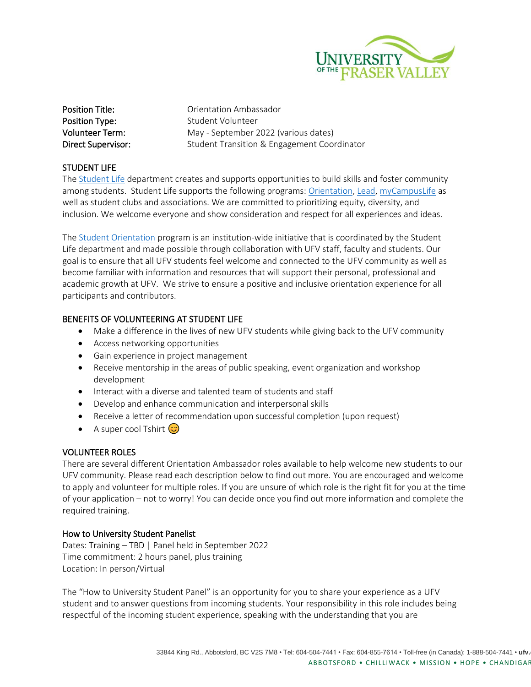

Position Title: Christian Drientation Ambassador **Position Type:** Student Volunteer Volunteer Term: May - September 2022 (various dates) Direct Supervisor: Student Transition & Engagement Coordinator

# STUDENT LIFE

The [Student Life](https://www.ufv.ca/studentlife/) department creates and supports opportunities to build skills and foster community among students. Student Life supports the following programs: [Orientation,](https://www.ufv.ca/current-students/new-students/) [Lead,](https://www.ufv.ca/current-students/lead/) [myCampusLife](https://mycampuslife.ufv.ca/) as well as student clubs and associations. We are committed to prioritizing equity, diversity, and inclusion. We welcome everyone and show consideration and respect for all experiences and ideas.

The [Student Orientation](https://ufv.ca/current-students/new-students/) program is an institution-wide initiative that is coordinated by the Student Life department and made possible through collaboration with UFV staff, faculty and students. Our goal is to ensure that all UFV students feel welcome and connected to the UFV community as well as become familiar with information and resources that will support their personal, professional and academic growth at UFV. We strive to ensure a positive and inclusive orientation experience for all participants and contributors.

# BENEFITS OF VOLUNTEERING AT STUDENT LIFE

- Make a difference in the lives of new UFV students while giving back to the UFV community
- Access networking opportunities
- Gain experience in project management
- Receive mentorship in the areas of public speaking, event organization and workshop development
- Interact with a diverse and talented team of students and staff
- Develop and enhance communication and interpersonal skills
- Receive a letter of recommendation upon successful completion (upon request)
- A super cool Tshirt  $\circled{c}$

## VOLUNTEER ROLES

There are several different Orientation Ambassador roles available to help welcome new students to our UFV community. Please read each description below to find out more. You are encouraged and welcome to apply and volunteer for multiple roles. If you are unsure of which role is the right fit for you at the time of your application – not to worry! You can decide once you find out more information and complete the required training.

## How to University Student Panelist

Dates: Training – TBD | Panel held in September 2022 Time commitment: 2 hours panel, plus training Location: In person/Virtual

The "How to University Student Panel" is an opportunity for you to share your experience as a UFV student and to answer questions from incoming students. Your responsibility in this role includes being respectful of the incoming student experience, speaking with the understanding that you are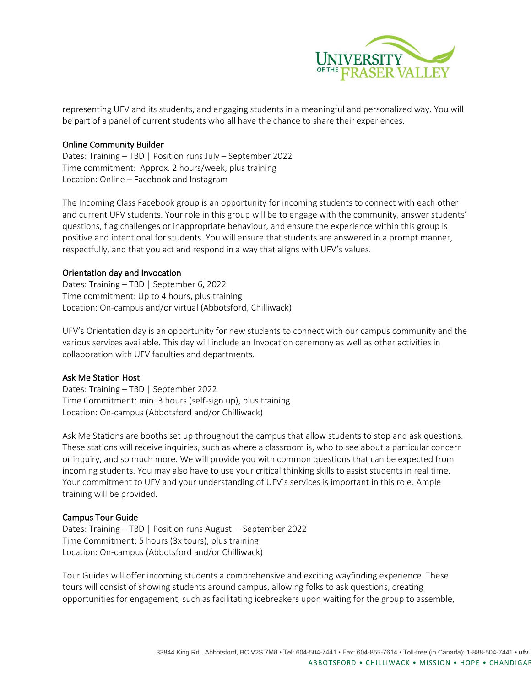

representing UFV and its students, and engaging students in a meaningful and personalized way. You will be part of a panel of current students who all have the chance to share their experiences.

## Online Community Builder

Dates: Training – TBD | Position runs July – September 2022 Time commitment: Approx. 2 hours/week, plus training Location: Online – Facebook and Instagram

The Incoming Class Facebook group is an opportunity for incoming students to connect with each other and current UFV students. Your role in this group will be to engage with the community, answer students' questions, flag challenges or inappropriate behaviour, and ensure the experience within this group is positive and intentional for students. You will ensure that students are answered in a prompt manner, respectfully, and that you act and respond in a way that aligns with UFV's values.

#### Orientation day and Invocation

Dates: Training – TBD | September 6, 2022 Time commitment: Up to 4 hours, plus training Location: On-campus and/or virtual (Abbotsford, Chilliwack)

UFV's Orientation day is an opportunity for new students to connect with our campus community and the various services available. This day will include an Invocation ceremony as well as other activities in collaboration with UFV faculties and departments.

#### Ask Me Station Host

Dates: Training – TBD | September 2022 Time Commitment: min. 3 hours (self-sign up), plus training Location: On-campus (Abbotsford and/or Chilliwack)

Ask Me Stations are booths set up throughout the campus that allow students to stop and ask questions. These stations will receive inquiries, such as where a classroom is, who to see about a particular concern or inquiry, and so much more. We will provide you with common questions that can be expected from incoming students. You may also have to use your critical thinking skills to assist students in real time. Your commitment to UFV and your understanding of UFV's services is important in this role. Ample training will be provided.

#### Campus Tour Guide

Dates: Training – TBD | Position runs August – September 2022 Time Commitment: 5 hours (3x tours), plus training Location: On-campus (Abbotsford and/or Chilliwack)

Tour Guides will offer incoming students a comprehensive and exciting wayfinding experience. These tours will consist of showing students around campus, allowing folks to ask questions, creating opportunities for engagement, such as facilitating icebreakers upon waiting for the group to assemble,